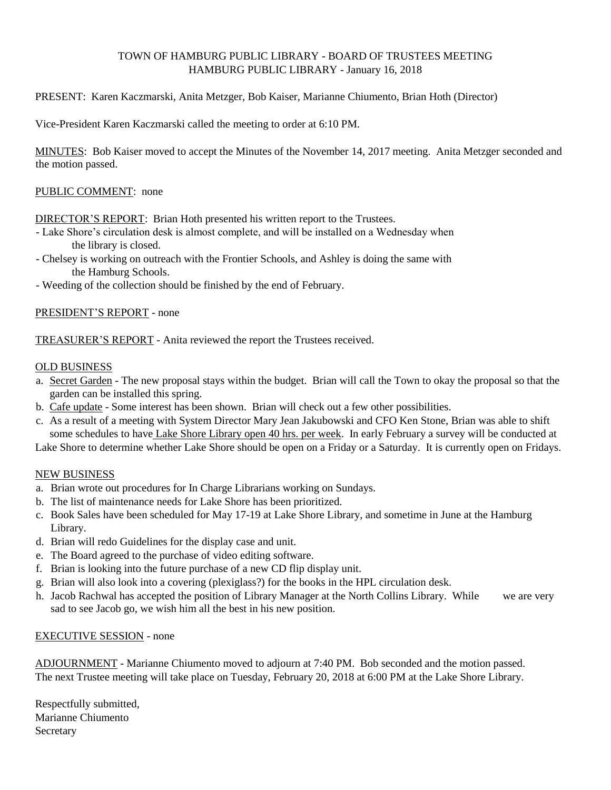## TOWN OF HAMBURG PUBLIC LIBRARY - BOARD OF TRUSTEES MEETING HAMBURG PUBLIC LIBRARY - January 16, 2018

# PRESENT: Karen Kaczmarski, Anita Metzger, Bob Kaiser, Marianne Chiumento, Brian Hoth (Director)

Vice-President Karen Kaczmarski called the meeting to order at 6:10 PM.

MINUTES: Bob Kaiser moved to accept the Minutes of the November 14, 2017 meeting. Anita Metzger seconded and the motion passed.

## PUBLIC COMMENT: none

DIRECTOR'S REPORT: Brian Hoth presented his written report to the Trustees.

- Lake Shore's circulation desk is almost complete, and will be installed on a Wednesday when the library is closed.
- Chelsey is working on outreach with the Frontier Schools, and Ashley is doing the same with the Hamburg Schools.
- Weeding of the collection should be finished by the end of February.

# PRESIDENT'S REPORT - none

TREASURER'S REPORT - Anita reviewed the report the Trustees received.

### OLD BUSINESS

- a. Secret Garden The new proposal stays within the budget. Brian will call the Town to okay the proposal so that the garden can be installed this spring.
- b. Cafe update Some interest has been shown. Brian will check out a few other possibilities.
- c. As a result of a meeting with System Director Mary Jean Jakubowski and CFO Ken Stone, Brian was able to shift some schedules to have Lake Shore Library open 40 hrs. per week. In early February a survey will be conducted at

Lake Shore to determine whether Lake Shore should be open on a Friday or a Saturday. It is currently open on Fridays.

### NEW BUSINESS

- a. Brian wrote out procedures for In Charge Librarians working on Sundays.
- b. The list of maintenance needs for Lake Shore has been prioritized.
- c. Book Sales have been scheduled for May 17-19 at Lake Shore Library, and sometime in June at the Hamburg Library.
- d. Brian will redo Guidelines for the display case and unit.
- e. The Board agreed to the purchase of video editing software.
- f. Brian is looking into the future purchase of a new CD flip display unit.
- g. Brian will also look into a covering (plexiglass?) for the books in the HPL circulation desk.
- h. Jacob Rachwal has accepted the position of Library Manager at the North Collins Library. While we are very sad to see Jacob go, we wish him all the best in his new position.

# EXECUTIVE SESSION - none

ADJOURNMENT - Marianne Chiumento moved to adjourn at 7:40 PM. Bob seconded and the motion passed. The next Trustee meeting will take place on Tuesday, February 20, 2018 at 6:00 PM at the Lake Shore Library.

Respectfully submitted, Marianne Chiumento **Secretary**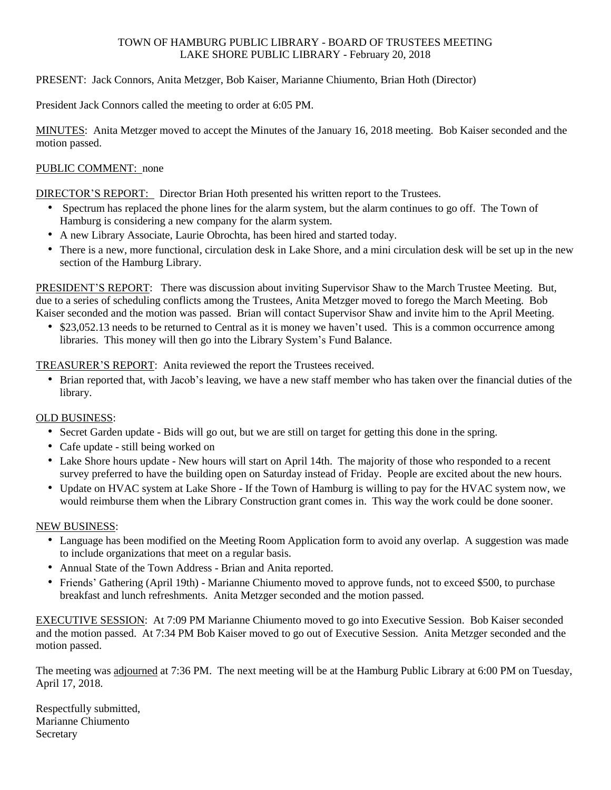## TOWN OF HAMBURG PUBLIC LIBRARY - BOARD OF TRUSTEES MEETING LAKE SHORE PUBLIC LIBRARY - February 20, 2018

## PRESENT: Jack Connors, Anita Metzger, Bob Kaiser, Marianne Chiumento, Brian Hoth (Director)

President Jack Connors called the meeting to order at 6:05 PM.

MINUTES: Anita Metzger moved to accept the Minutes of the January 16, 2018 meeting. Bob Kaiser seconded and the motion passed.

## PUBLIC COMMENT: none

DIRECTOR'S REPORT: Director Brian Hoth presented his written report to the Trustees.

- Spectrum has replaced the phone lines for the alarm system, but the alarm continues to go off. The Town of Hamburg is considering a new company for the alarm system.
- A new Library Associate, Laurie Obrochta, has been hired and started today.
- There is a new, more functional, circulation desk in Lake Shore, and a mini circulation desk will be set up in the new section of the Hamburg Library.

PRESIDENT'S REPORT: There was discussion about inviting Supervisor Shaw to the March Trustee Meeting. But, due to a series of scheduling conflicts among the Trustees, Anita Metzger moved to forego the March Meeting. Bob Kaiser seconded and the motion was passed. Brian will contact Supervisor Shaw and invite him to the April Meeting.

• \$23,052.13 needs to be returned to Central as it is money we haven't used. This is a common occurrence among libraries. This money will then go into the Library System's Fund Balance.

### TREASURER'S REPORT: Anita reviewed the report the Trustees received.

• Brian reported that, with Jacob's leaving, we have a new staff member who has taken over the financial duties of the library.

### OLD BUSINESS:

- Secret Garden update Bids will go out, but we are still on target for getting this done in the spring.
- Cafe update still being worked on
- Lake Shore hours update New hours will start on April 14th. The majority of those who responded to a recent survey preferred to have the building open on Saturday instead of Friday. People are excited about the new hours.
- Update on HVAC system at Lake Shore If the Town of Hamburg is willing to pay for the HVAC system now, we would reimburse them when the Library Construction grant comes in. This way the work could be done sooner.

### NEW BUSINESS:

- Language has been modified on the Meeting Room Application form to avoid any overlap. A suggestion was made to include organizations that meet on a regular basis.
- Annual State of the Town Address Brian and Anita reported.
- Friends' Gathering (April 19th) Marianne Chiumento moved to approve funds, not to exceed \$500, to purchase breakfast and lunch refreshments. Anita Metzger seconded and the motion passed.

EXECUTIVE SESSION: At 7:09 PM Marianne Chiumento moved to go into Executive Session. Bob Kaiser seconded and the motion passed. At 7:34 PM Bob Kaiser moved to go out of Executive Session. Anita Metzger seconded and the motion passed.

The meeting was adjourned at 7:36 PM. The next meeting will be at the Hamburg Public Library at 6:00 PM on Tuesday, April 17, 2018.

Respectfully submitted, Marianne Chiumento Secretary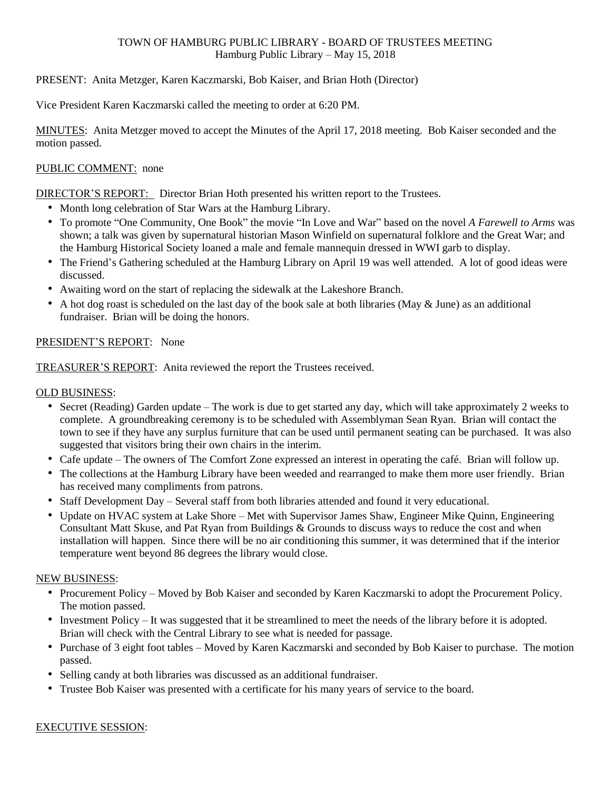# TOWN OF HAMBURG PUBLIC LIBRARY - BOARD OF TRUSTEES MEETING Hamburg Public Library – May 15, 2018

# PRESENT: Anita Metzger, Karen Kaczmarski, Bob Kaiser, and Brian Hoth (Director)

Vice President Karen Kaczmarski called the meeting to order at 6:20 PM.

MINUTES: Anita Metzger moved to accept the Minutes of the April 17, 2018 meeting. Bob Kaiser seconded and the motion passed.

# PUBLIC COMMENT: none

# DIRECTOR'S REPORT: Director Brian Hoth presented his written report to the Trustees.

- Month long celebration of Star Wars at the Hamburg Library.
- To promote "One Community, One Book" the movie "In Love and War" based on the novel *A Farewell to Arms* was shown; a talk was given by supernatural historian Mason Winfield on supernatural folklore and the Great War; and the Hamburg Historical Society loaned a male and female mannequin dressed in WWI garb to display.
- The Friend's Gathering scheduled at the Hamburg Library on April 19 was well attended. A lot of good ideas were discussed.
- Awaiting word on the start of replacing the sidewalk at the Lakeshore Branch.
- A hot dog roast is scheduled on the last day of the book sale at both libraries (May  $&$  June) as an additional fundraiser. Brian will be doing the honors.

# PRESIDENT'S REPORT: None

TREASURER'S REPORT: Anita reviewed the report the Trustees received.

## OLD BUSINESS:

- Secret (Reading) Garden update The work is due to get started any day, which will take approximately 2 weeks to complete. A groundbreaking ceremony is to be scheduled with Assemblyman Sean Ryan. Brian will contact the town to see if they have any surplus furniture that can be used until permanent seating can be purchased. It was also suggested that visitors bring their own chairs in the interim.
- Cafe update The owners of The Comfort Zone expressed an interest in operating the café. Brian will follow up.
- The collections at the Hamburg Library have been weeded and rearranged to make them more user friendly. Brian has received many compliments from patrons.
- Staff Development Day Several staff from both libraries attended and found it very educational.
- Update on HVAC system at Lake Shore Met with Supervisor James Shaw, Engineer Mike Quinn, Engineering Consultant Matt Skuse, and Pat Ryan from Buildings & Grounds to discuss ways to reduce the cost and when installation will happen. Since there will be no air conditioning this summer, it was determined that if the interior temperature went beyond 86 degrees the library would close.

# NEW BUSINESS:

- Procurement Policy Moved by Bob Kaiser and seconded by Karen Kaczmarski to adopt the Procurement Policy. The motion passed.
- Investment Policy It was suggested that it be streamlined to meet the needs of the library before it is adopted. Brian will check with the Central Library to see what is needed for passage.
- Purchase of 3 eight foot tables Moved by Karen Kaczmarski and seconded by Bob Kaiser to purchase. The motion passed.
- Selling candy at both libraries was discussed as an additional fundraiser.
- Trustee Bob Kaiser was presented with a certificate for his many years of service to the board.

### EXECUTIVE SESSION: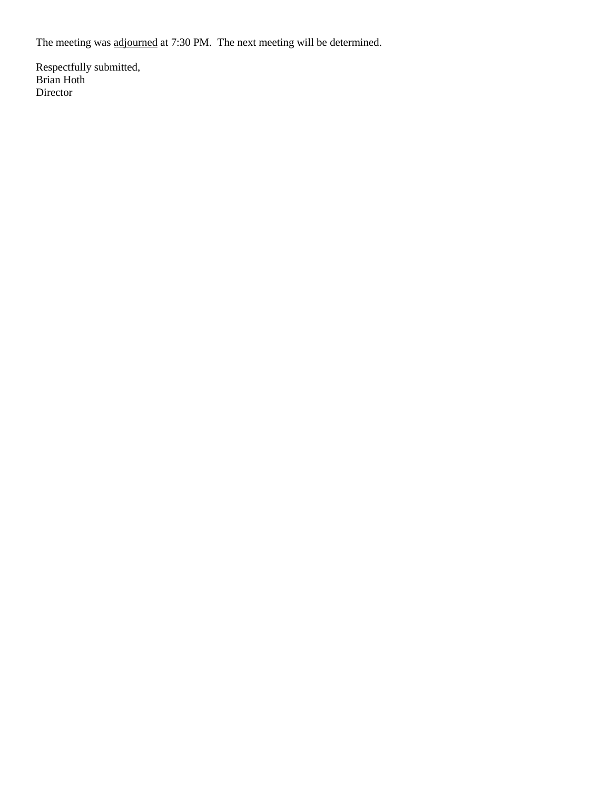The meeting was adjourned at 7:30 PM. The next meeting will be determined.

Respectfully submitted, Brian Hoth Director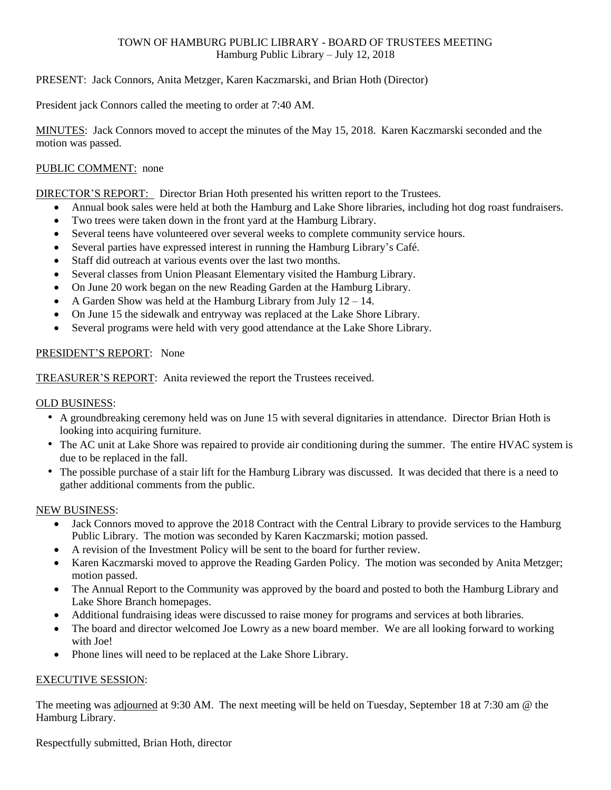# TOWN OF HAMBURG PUBLIC LIBRARY - BOARD OF TRUSTEES MEETING Hamburg Public Library – July 12, 2018

# PRESENT: Jack Connors, Anita Metzger, Karen Kaczmarski, and Brian Hoth (Director)

President jack Connors called the meeting to order at 7:40 AM.

MINUTES: Jack Connors moved to accept the minutes of the May 15, 2018. Karen Kaczmarski seconded and the motion was passed.

# PUBLIC COMMENT: none

DIRECTOR'S REPORT: Director Brian Hoth presented his written report to the Trustees.

- Annual book sales were held at both the Hamburg and Lake Shore libraries, including hot dog roast fundraisers.
- Two trees were taken down in the front yard at the Hamburg Library.
- Several teens have volunteered over several weeks to complete community service hours.
- Several parties have expressed interest in running the Hamburg Library's Café.
- Staff did outreach at various events over the last two months.
- Several classes from Union Pleasant Elementary visited the Hamburg Library.
- On June 20 work began on the new Reading Garden at the Hamburg Library.
- A Garden Show was held at the Hamburg Library from July 12 14.
- On June 15 the sidewalk and entryway was replaced at the Lake Shore Library.
- Several programs were held with very good attendance at the Lake Shore Library.

# PRESIDENT'S REPORT: None

TREASURER'S REPORT: Anita reviewed the report the Trustees received.

### OLD BUSINESS:

- A groundbreaking ceremony held was on June 15 with several dignitaries in attendance. Director Brian Hoth is looking into acquiring furniture.
- The AC unit at Lake Shore was repaired to provide air conditioning during the summer. The entire HVAC system is due to be replaced in the fall.
- The possible purchase of a stair lift for the Hamburg Library was discussed. It was decided that there is a need to gather additional comments from the public.

# NEW BUSINESS:

- Jack Connors moved to approve the 2018 Contract with the Central Library to provide services to the Hamburg Public Library. The motion was seconded by Karen Kaczmarski; motion passed.
- A revision of the Investment Policy will be sent to the board for further review.
- Karen Kaczmarski moved to approve the Reading Garden Policy. The motion was seconded by Anita Metzger; motion passed.
- The Annual Report to the Community was approved by the board and posted to both the Hamburg Library and Lake Shore Branch homepages.
- Additional fundraising ideas were discussed to raise money for programs and services at both libraries.
- The board and director welcomed Joe Lowry as a new board member. We are all looking forward to working with Joe!
- Phone lines will need to be replaced at the Lake Shore Library.

### EXECUTIVE SESSION:

The meeting was adjourned at 9:30 AM. The next meeting will be held on Tuesday, September 18 at 7:30 am @ the Hamburg Library.

Respectfully submitted, Brian Hoth, director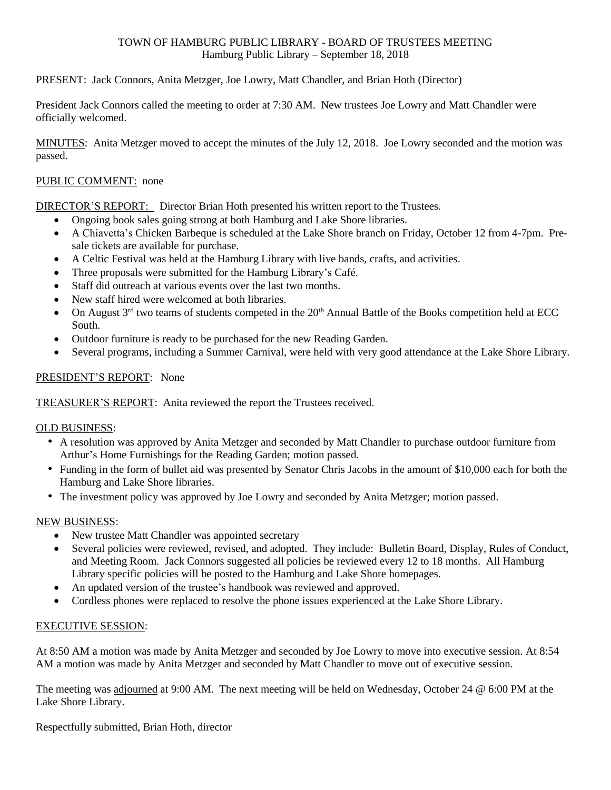# TOWN OF HAMBURG PUBLIC LIBRARY - BOARD OF TRUSTEES MEETING Hamburg Public Library – September 18, 2018

## PRESENT: Jack Connors, Anita Metzger, Joe Lowry, Matt Chandler, and Brian Hoth (Director)

President Jack Connors called the meeting to order at 7:30 AM. New trustees Joe Lowry and Matt Chandler were officially welcomed.

MINUTES: Anita Metzger moved to accept the minutes of the July 12, 2018. Joe Lowry seconded and the motion was passed.

### PUBLIC COMMENT: none

DIRECTOR'S REPORT: Director Brian Hoth presented his written report to the Trustees.

- Ongoing book sales going strong at both Hamburg and Lake Shore libraries.
- A Chiavetta's Chicken Barbeque is scheduled at the Lake Shore branch on Friday, October 12 from 4-7pm. Presale tickets are available for purchase.
- A Celtic Festival was held at the Hamburg Library with live bands, crafts, and activities.
- Three proposals were submitted for the Hamburg Library's Café.
- Staff did outreach at various events over the last two months.
- New staff hired were welcomed at both libraries.
- On August  $3<sup>rd</sup>$  two teams of students competed in the  $20<sup>th</sup>$  Annual Battle of the Books competition held at ECC South.
- Outdoor furniture is ready to be purchased for the new Reading Garden.
- Several programs, including a Summer Carnival, were held with very good attendance at the Lake Shore Library.

### PRESIDENT'S REPORT: None

TREASURER'S REPORT: Anita reviewed the report the Trustees received.

### OLD BUSINESS:

- A resolution was approved by Anita Metzger and seconded by Matt Chandler to purchase outdoor furniture from Arthur's Home Furnishings for the Reading Garden; motion passed.
- Funding in the form of bullet aid was presented by Senator Chris Jacobs in the amount of \$10,000 each for both the Hamburg and Lake Shore libraries.
- The investment policy was approved by Joe Lowry and seconded by Anita Metzger; motion passed.

### NEW BUSINESS:

- New trustee Matt Chandler was appointed secretary
- Several policies were reviewed, revised, and adopted. They include: Bulletin Board, Display, Rules of Conduct, and Meeting Room. Jack Connors suggested all policies be reviewed every 12 to 18 months. All Hamburg Library specific policies will be posted to the Hamburg and Lake Shore homepages.
- An updated version of the trustee's handbook was reviewed and approved.
- Cordless phones were replaced to resolve the phone issues experienced at the Lake Shore Library.

### EXECUTIVE SESSION:

At 8:50 AM a motion was made by Anita Metzger and seconded by Joe Lowry to move into executive session. At 8:54 AM a motion was made by Anita Metzger and seconded by Matt Chandler to move out of executive session.

The meeting was adjourned at 9:00 AM. The next meeting will be held on Wednesday, October 24 @ 6:00 PM at the Lake Shore Library.

Respectfully submitted, Brian Hoth, director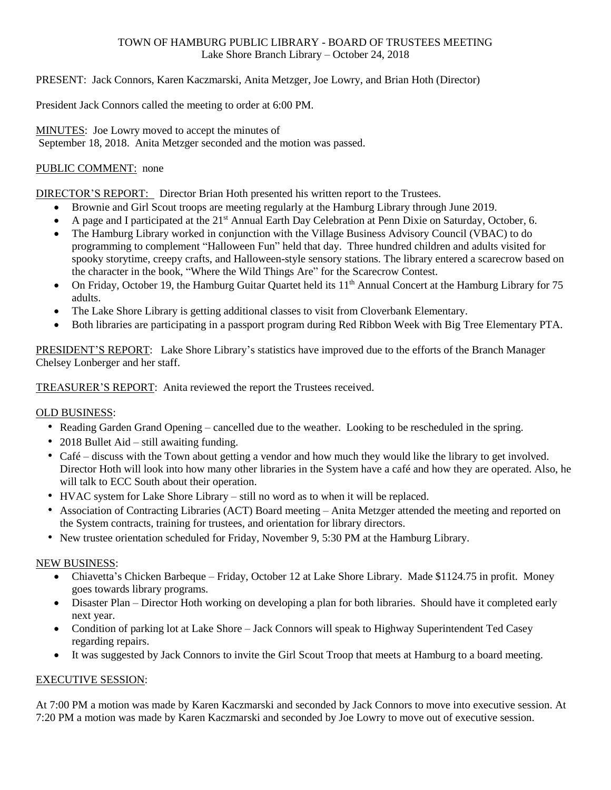# TOWN OF HAMBURG PUBLIC LIBRARY - BOARD OF TRUSTEES MEETING Lake Shore Branch Library – October 24, 2018

PRESENT: Jack Connors, Karen Kaczmarski, Anita Metzger, Joe Lowry, and Brian Hoth (Director)

President Jack Connors called the meeting to order at 6:00 PM.

MINUTES: Joe Lowry moved to accept the minutes of September 18, 2018. Anita Metzger seconded and the motion was passed.

# PUBLIC COMMENT: none

## DIRECTOR'S REPORT: Director Brian Hoth presented his written report to the Trustees.

- Brownie and Girl Scout troops are meeting regularly at the Hamburg Library through June 2019.
- A page and I participated at the 21st Annual Earth Day Celebration at Penn Dixie on Saturday, October, 6.
- The Hamburg Library worked in conjunction with the Village Business Advisory Council (VBAC) to do programming to complement "Halloween Fun" held that day. Three hundred children and adults visited for spooky storytime, creepy crafts, and Halloween-style sensory stations. The library entered a scarecrow based on the character in the book, "Where the Wild Things Are" for the Scarecrow Contest.
- On Friday, October 19, the Hamburg Guitar Quartet held its 11<sup>th</sup> Annual Concert at the Hamburg Library for 75 adults.
- The Lake Shore Library is getting additional classes to visit from Cloverbank Elementary.
- Both libraries are participating in a passport program during Red Ribbon Week with Big Tree Elementary PTA.

PRESIDENT'S REPORT: Lake Shore Library's statistics have improved due to the efforts of the Branch Manager Chelsey Lonberger and her staff.

TREASURER'S REPORT: Anita reviewed the report the Trustees received.

# OLD BUSINESS:

- Reading Garden Grand Opening cancelled due to the weather. Looking to be rescheduled in the spring.
- 2018 Bullet Aid still awaiting funding.
- Café discuss with the Town about getting a vendor and how much they would like the library to get involved. Director Hoth will look into how many other libraries in the System have a café and how they are operated. Also, he will talk to ECC South about their operation.
- HVAC system for Lake Shore Library still no word as to when it will be replaced.
- Association of Contracting Libraries (ACT) Board meeting Anita Metzger attended the meeting and reported on the System contracts, training for trustees, and orientation for library directors.
- New trustee orientation scheduled for Friday, November 9, 5:30 PM at the Hamburg Library.

# NEW BUSINESS:

- Chiavetta's Chicken Barbeque Friday, October 12 at Lake Shore Library. Made \$1124.75 in profit. Money goes towards library programs.
- Disaster Plan Director Hoth working on developing a plan for both libraries. Should have it completed early next year.
- Condition of parking lot at Lake Shore Jack Connors will speak to Highway Superintendent Ted Casey regarding repairs.
- It was suggested by Jack Connors to invite the Girl Scout Troop that meets at Hamburg to a board meeting.

# EXECUTIVE SESSION:

At 7:00 PM a motion was made by Karen Kaczmarski and seconded by Jack Connors to move into executive session. At 7:20 PM a motion was made by Karen Kaczmarski and seconded by Joe Lowry to move out of executive session.